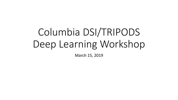# Columbia DSI/TRIPODS Deep Learning Workshop

March 15, 2019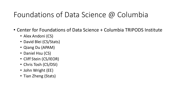### Foundations of Data Science @ Columbia

- Center for Foundations of Data Science + Columbia TRIPODS Institute
	- Alex Andoni (CS)
	- David Blei (CS/Stats)
	- Qiang Du (APAM)
	- Daniel Hsu (CS)
	- Cliff Stein (CS/IEOR)
	- Chris Tosh (CS/DSI)
	- John Wright (EE)
	- Tian Zheng (Stats)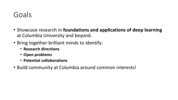#### Goals

- Showcase research in **foundations and applications of deep learning** at Columbia University and beyond.
- Bring together brilliant minds to identify:
	- **Research directions**
	- **Open problems**
	- **Potential collaborations**
- Build community at Columbia around common interests!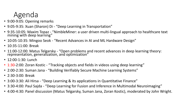## Agenda

- 9:00-9:05: Opening remarks
- 9:05-9:35: Xuan (Sharon) Di "Deep Learning in Transportation"
- 9:35-10:05: Maxim Topaz "NimbleMiner: a user driven multi-lingual approach to healthcare text mining with deep learning"
- 10:05-10:35: Mingoo Seok "Recent Advances in AI and ML Hardware Design"
- 10:35-11:00: Break
- 11:00-12:00: Matus Telgarsky "Open problems and recent advances in deep learning theory: representation, generalization, and optimization"
- 12:00-1:30: Lunch
- 1:30-2:00: Zoran Kostic "Tracking objects and fields in videos using deep learning"
- 2:00-2:30: Suman Jana "Building Verifiably Secure Machine Learning Systems"
- 2:30-3:00: Break
- 3:00-3:30: Ali Hirsa "Deep Learning & its applications in Quantitative Finance"
- 3:30-4:00: Paul Sajda "Deep Learning for Fusion and Inference in Multimodal Neuroimaging"
- 4:00-4:30: Panel discussion (Matus Telgarsky, Suman Jana, Zoran Kostic), moderated by John Wright.